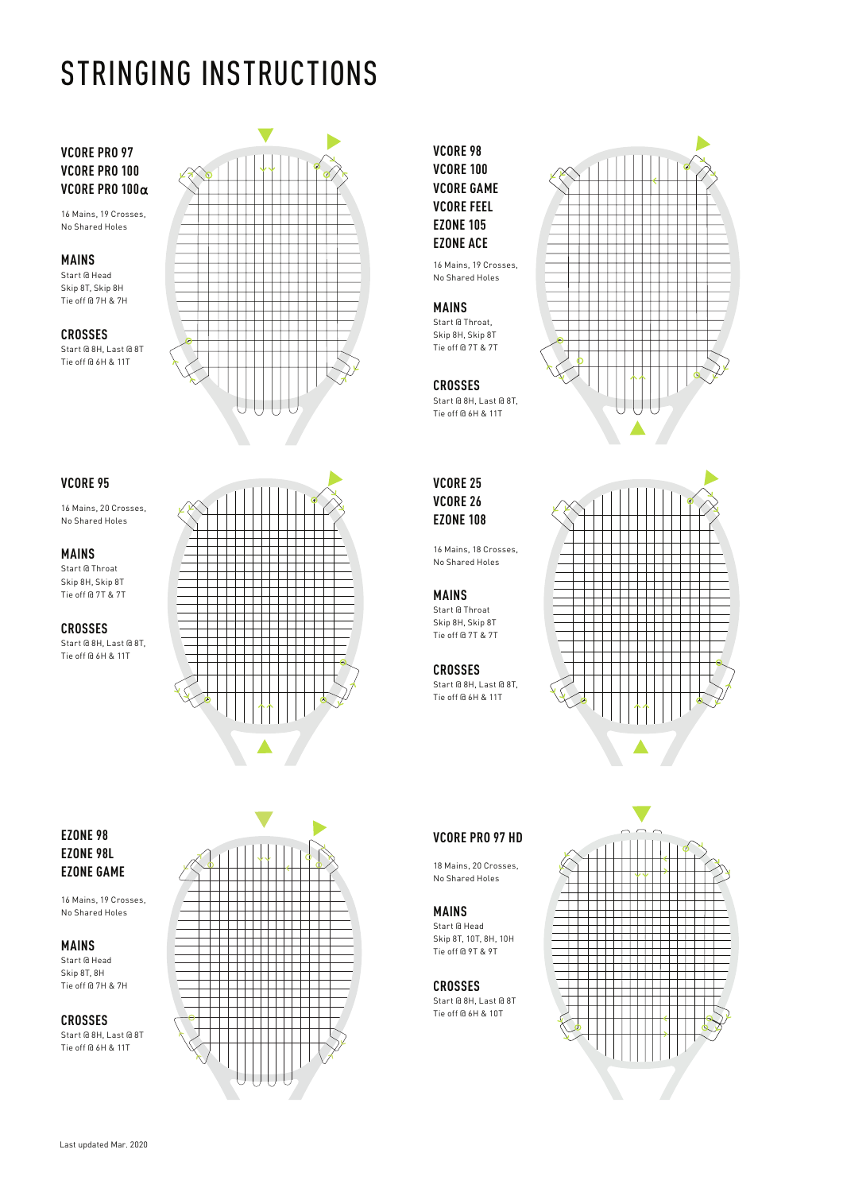# STRINGING INSTRUCTIONS

# **VCORE PRO 97 VCORE PRO 100 VCORE PRO 100**

16 Mains, 19 Crosses, No Shared Holes

### **MAINS**

Start @ Head Skip 8T, Skip 8H Tie off @ 7H & 7H

**CROSSES** Start @ 8H, Last @ 8T Tie off @ 6H & 11T



# **VCORE 95**

16 Mains, 20 Crosses, No Shared Holes

# **MAINS**

Start @ Throat Skip 8H, Skip 8T Tie off @ 7T & 7T

#### **CROSSES**

Start @ 8H, Last @ 8T, Tie off @ 6H & 11T



# **VCORE 98 VCORE 100 VCORE GAME VCORE FEEL EZONE 105 EZONE ACE**

16 Mains, 19 Crosses, No Shared Holes

# **MAINS**

Start @ Throat, Skip 8H, Skip 8T Tie off @ 7T & 7T

### **CROSSES**

Start @ 8H, Last @ 8T, Tie off @ 6H & 11T

# **VCORE 25 VCORE 26 EZONE 108**

16 Mains, 18 Crosses, No Shared Holes

#### **MAINS**

Start @ Throat Skip 8H, Skip 8T Tie off @ 7T & 7T

# **CROSSES**

Start @ 8H, Last @ 8T, Tie off @ 6H & 11T





# **VCORE PRO 97 HD**

18 Mains, 20 Crosses, No Shared Holes

# **MAINS**

Start @ Head Skip 8T, 10T, 8H, 10H Tie off @ 9T & 9T

#### **CROSSES**

Start @ 8H, Last @ 8T Tie off @ 6H & 10T



# **EZONE 98 EZONE 98L EZONE GAME**

16 Mains, 19 Crosses, No Shared Holes

**MAINS** Start @ Head Skip 8T, 8H

Tie off @ 7H & 7H **CROSSES**

Start @ 8H, Last @ 8T Tie off @ 6H & 11T